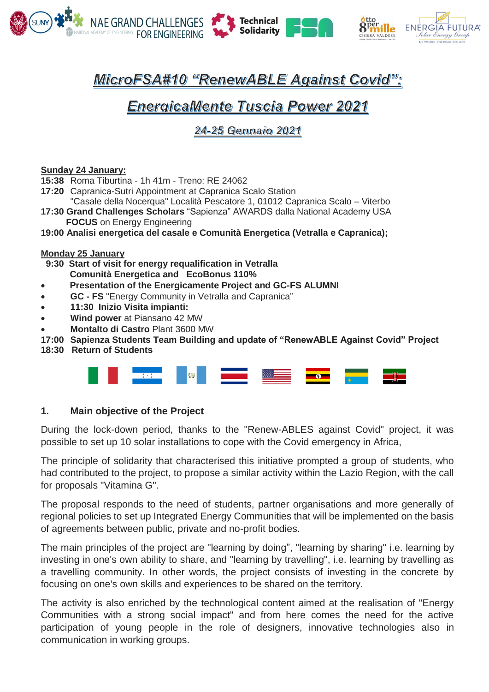





# MicroFSA#10 "RenewABLE Against Covid"":

# **EnergicaMente Tuscia Power 2021**

## 24-25 Gennaio 2021

#### **Sunday 24 January:**

- **15:38** Roma Tiburtina 1h 41m Treno: RE 24062
- **17:20** Capranica-Sutri Appointment at Capranica Scalo Station
- "Casale della Nocerqua" Località Pescatore 1, 01012 Capranica Scalo Viterbo
- **17:30 Grand Challenges Scholars** "Sapienza" AWARDS dalla National Academy USA  **FOCUS** on Energy Engineering

**19:00 Analisi energetica del casale e Comunità Energetica (Vetralla e Capranica);**

#### **Monday 25 January**

 **9:30 Start of visit for energy requalification in Vetralla Comunità Energetica and EcoBonus 110%**

- **Presentation of the Energicamente Project and GC-FS ALUMNI**
- **GC - FS** "Energy Community in Vetralla and Capranica"
- **11:30 Inizio Visita impianti:**
- **Wind power** at Piansano 42 MW
- **Montalto di Castro** Plant 3600 MW
- **17:00 Sapienza Students Team Building and update of "RenewABLE Against Covid" Project**
- **18:30 Return of Students**



### **1. Main objective of the Project**

During the lock-down period, thanks to the "Renew-ABLES against Covid" project, it was possible to set up 10 solar installations to cope with the Covid emergency in Africa,

The principle of solidarity that characterised this initiative prompted a group of students, who had contributed to the project, to propose a similar activity within the Lazio Region, with the call for proposals "Vitamina G".

The proposal responds to the need of students, partner organisations and more generally of regional policies to set up Integrated Energy Communities that will be implemented on the basis of agreements between public, private and no-profit bodies.

The main principles of the project are "learning by doing", "learning by sharing" i.e. learning by investing in one's own ability to share, and "learning by travelling", i.e. learning by travelling as a travelling community. In other words, the project consists of investing in the concrete by focusing on one's own skills and experiences to be shared on the territory.

The activity is also enriched by the technological content aimed at the realisation of "Energy Communities with a strong social impact" and from here comes the need for the active participation of young people in the role of designers, innovative technologies also in communication in working groups.